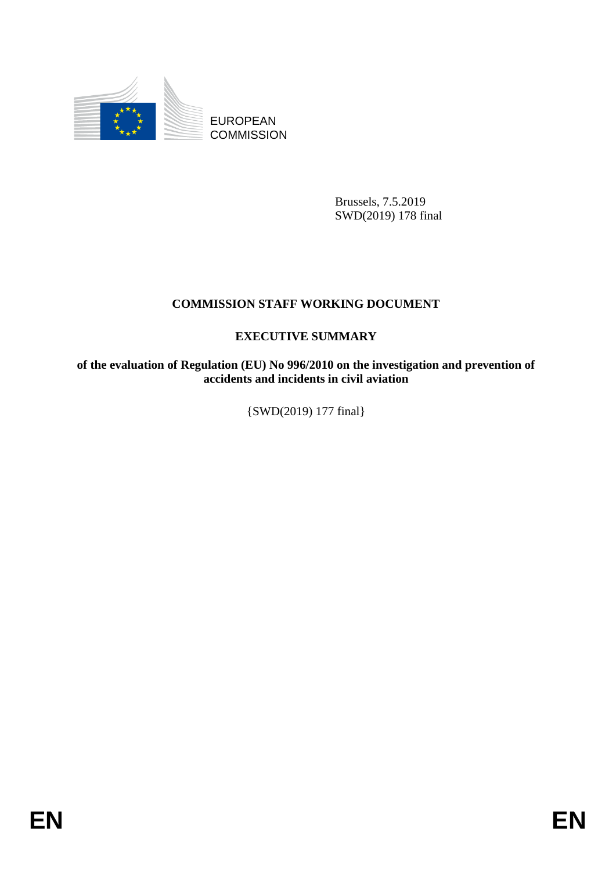

EUROPEAN **COMMISSION** 

> Brussels, 7.5.2019 SWD(2019) 178 final

## **COMMISSION STAFF WORKING DOCUMENT**

## **EXECUTIVE SUMMARY**

**of the evaluation of Regulation (EU) No 996/2010 on the investigation and prevention of accidents and incidents in civil aviation**

{SWD(2019) 177 final}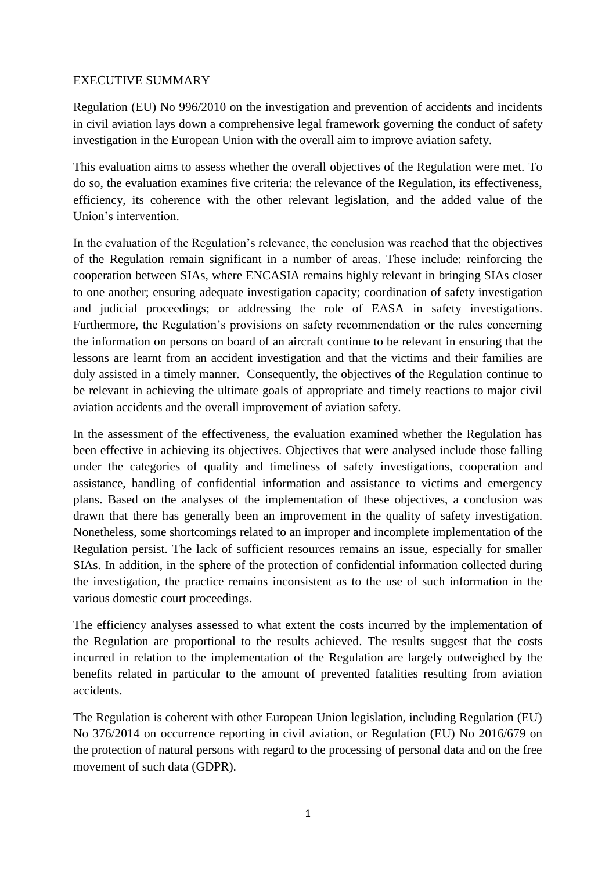## EXECUTIVE SUMMARY

Regulation (EU) No 996/2010 on the investigation and prevention of accidents and incidents in civil aviation lays down a comprehensive legal framework governing the conduct of safety investigation in the European Union with the overall aim to improve aviation safety.

This evaluation aims to assess whether the overall objectives of the Regulation were met. To do so, the evaluation examines five criteria: the relevance of the Regulation, its effectiveness, efficiency, its coherence with the other relevant legislation, and the added value of the Union's intervention.

In the evaluation of the Regulation's relevance, the conclusion was reached that the objectives of the Regulation remain significant in a number of areas. These include: reinforcing the cooperation between SIAs, where ENCASIA remains highly relevant in bringing SIAs closer to one another; ensuring adequate investigation capacity; coordination of safety investigation and judicial proceedings; or addressing the role of EASA in safety investigations. Furthermore, the Regulation's provisions on safety recommendation or the rules concerning the information on persons on board of an aircraft continue to be relevant in ensuring that the lessons are learnt from an accident investigation and that the victims and their families are duly assisted in a timely manner. Consequently, the objectives of the Regulation continue to be relevant in achieving the ultimate goals of appropriate and timely reactions to major civil aviation accidents and the overall improvement of aviation safety.

In the assessment of the effectiveness, the evaluation examined whether the Regulation has been effective in achieving its objectives. Objectives that were analysed include those falling under the categories of quality and timeliness of safety investigations, cooperation and assistance, handling of confidential information and assistance to victims and emergency plans. Based on the analyses of the implementation of these objectives, a conclusion was drawn that there has generally been an improvement in the quality of safety investigation. Nonetheless, some shortcomings related to an improper and incomplete implementation of the Regulation persist. The lack of sufficient resources remains an issue, especially for smaller SIAs. In addition, in the sphere of the protection of confidential information collected during the investigation, the practice remains inconsistent as to the use of such information in the various domestic court proceedings.

The efficiency analyses assessed to what extent the costs incurred by the implementation of the Regulation are proportional to the results achieved. The results suggest that the costs incurred in relation to the implementation of the Regulation are largely outweighed by the benefits related in particular to the amount of prevented fatalities resulting from aviation accidents.

The Regulation is coherent with other European Union legislation, including Regulation (EU) No 376/2014 on occurrence reporting in civil aviation, or Regulation (EU) No 2016/679 on the protection of natural persons with regard to the processing of personal data and on the free movement of such data (GDPR).